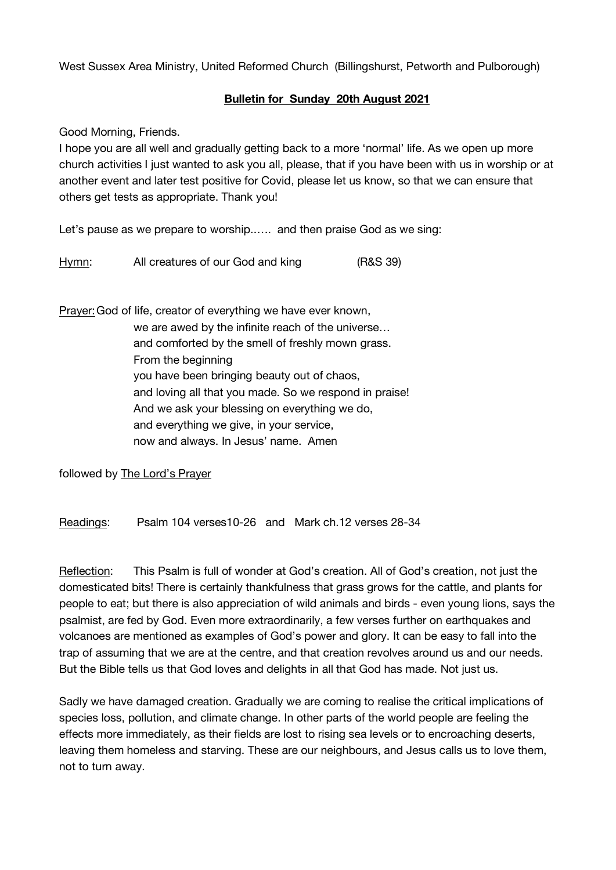West Sussex Area Ministry, United Reformed Church (Billingshurst, Petworth and Pulborough)

## **Bulletin for Sunday 20th August 2021**

Good Morning, Friends.

I hope you are all well and gradually getting back to a more 'normal' life. As we open up more church activities I just wanted to ask you all, please, that if you have been with us in worship or at another event and later test positive for Covid, please let us know, so that we can ensure that others get tests as appropriate. Thank you!

Let's pause as we prepare to worship..…. and then praise God as we sing:

Hymn: All creatures of our God and king (R&S 39)

Prayer:God of life, creator of everything we have ever known, we are awed by the infinite reach of the universe… and comforted by the smell of freshly mown grass. From the beginning you have been bringing beauty out of chaos, and loving all that you made. So we respond in praise! And we ask your blessing on everything we do, and everything we give, in your service, now and always. In Jesus' name. Amen

followed by The Lord's Prayer

Readings: Psalm 104 verses10-26 and Mark ch.12 verses 28-34

Reflection: This Psalm is full of wonder at God's creation. All of God's creation, not just the domesticated bits! There is certainly thankfulness that grass grows for the cattle, and plants for people to eat; but there is also appreciation of wild animals and birds - even young lions, says the psalmist, are fed by God. Even more extraordinarily, a few verses further on earthquakes and volcanoes are mentioned as examples of God's power and glory. It can be easy to fall into the trap of assuming that we are at the centre, and that creation revolves around us and our needs. But the Bible tells us that God loves and delights in all that God has made. Not just us.

Sadly we have damaged creation. Gradually we are coming to realise the critical implications of species loss, pollution, and climate change. In other parts of the world people are feeling the effects more immediately, as their fields are lost to rising sea levels or to encroaching deserts, leaving them homeless and starving. These are our neighbours, and Jesus calls us to love them, not to turn away.